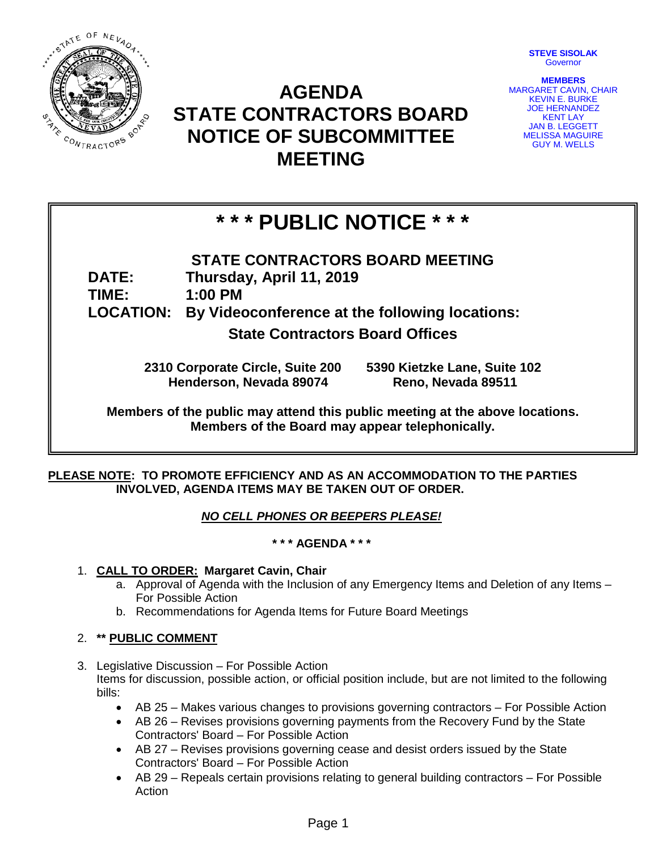

## **AGENDA STATE CONTRACTORS BOARD NOTICE OF SUBCOMMITTEE MEETING**

**STEVE SISOLAK** Governor

**MEMBERS** MARGARET CAVIN, CHAIR **KEVIN E. BURKE** JOE HERNANDEZ KENT LAY JAN B. LEGGETT MELISSA MAGUIRE GUY M. WELLS

# **\* \* \* PUBLIC NOTICE \* \* \***

- **STATE CONTRACTORS BOARD MEETING**
- **DATE: Thursday, April 11, 2019**

**TIME: 1:00 PM**

**LOCATION: By Videoconference at the following locations:** 

**State Contractors Board Offices**

**2310 Corporate Circle, Suite 200 5390 Kietzke Lane, Suite 102 Henderson, Nevada 89074** 

**Members of the public may attend this public meeting at the above locations. Members of the Board may appear telephonically.**

#### **PLEASE NOTE: TO PROMOTE EFFICIENCY AND AS AN ACCOMMODATION TO THE PARTIES INVOLVED, AGENDA ITEMS MAY BE TAKEN OUT OF ORDER.**

### *NO CELL PHONES OR BEEPERS PLEASE!*

#### **\* \* \* AGENDA \* \* \***

- 1. **CALL TO ORDER: Margaret Cavin, Chair**
	- a. Approval of Agenda with the Inclusion of any Emergency Items and Deletion of any Items For Possible Action
	- b. Recommendations for Agenda Items for Future Board Meetings

#### 2. **\*\* PUBLIC COMMENT**

- 3. Legislative Discussion For Possible Action Items for discussion, possible action, or official position include, but are not limited to the following bills:
	- AB 25 Makes various changes to provisions governing contractors For Possible Action
	- AB 26 Revises provisions governing payments from the Recovery Fund by the State Contractors' Board – For Possible Action
	- AB 27 Revises provisions governing cease and desist orders issued by the State Contractors' Board – For Possible Action
	- AB 29 Repeals certain provisions relating to general building contractors For Possible Action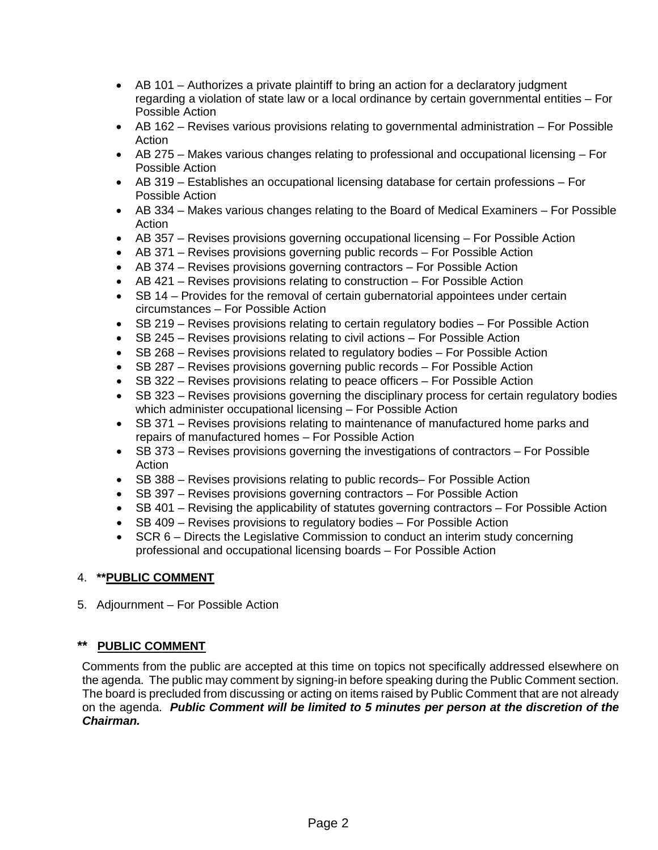- AB 101 Authorizes a private plaintiff to bring an action for a declaratory judgment regarding a violation of state law or a local ordinance by certain governmental entities – For Possible Action
- AB 162 Revises various provisions relating to governmental administration For Possible Action
- AB 275 Makes various changes relating to professional and occupational licensing For Possible Action
- AB 319 Establishes an occupational licensing database for certain professions For Possible Action
- AB 334 Makes various changes relating to the Board of Medical Examiners For Possible Action
- AB 357 Revises provisions governing occupational licensing For Possible Action
- AB 371 Revises provisions governing public records For Possible Action
- AB 374 Revises provisions governing contractors For Possible Action
- AB 421 Revises provisions relating to construction For Possible Action
- SB 14 Provides for the removal of certain gubernatorial appointees under certain circumstances – For Possible Action
- SB 219 Revises provisions relating to certain regulatory bodies For Possible Action
- SB 245 Revises provisions relating to civil actions For Possible Action
- SB 268 Revises provisions related to regulatory bodies For Possible Action
- SB 287 Revises provisions governing public records For Possible Action
- SB 322 Revises provisions relating to peace officers For Possible Action
- SB 323 Revises provisions governing the disciplinary process for certain regulatory bodies which administer occupational licensing – For Possible Action
- SB 371 Revises provisions relating to maintenance of manufactured home parks and repairs of manufactured homes – For Possible Action
- SB 373 Revises provisions governing the investigations of contractors For Possible Action
- SB 388 Revises provisions relating to public records– For Possible Action
- SB 397 Revises provisions governing contractors For Possible Action
- SB 401 Revising the applicability of statutes governing contractors For Possible Action
- SB 409 Revises provisions to regulatory bodies For Possible Action
- SCR 6 Directs the Legislative Commission to conduct an interim study concerning professional and occupational licensing boards – For Possible Action

#### 4. **\*\*PUBLIC COMMENT**

5. Adjournment – For Possible Action

#### **\*\* PUBLIC COMMENT**

Comments from the public are accepted at this time on topics not specifically addressed elsewhere on the agenda. The public may comment by signing-in before speaking during the Public Comment section. The board is precluded from discussing or acting on items raised by Public Comment that are not already on the agenda. *Public Comment will be limited to 5 minutes per person at the discretion of the Chairman.*